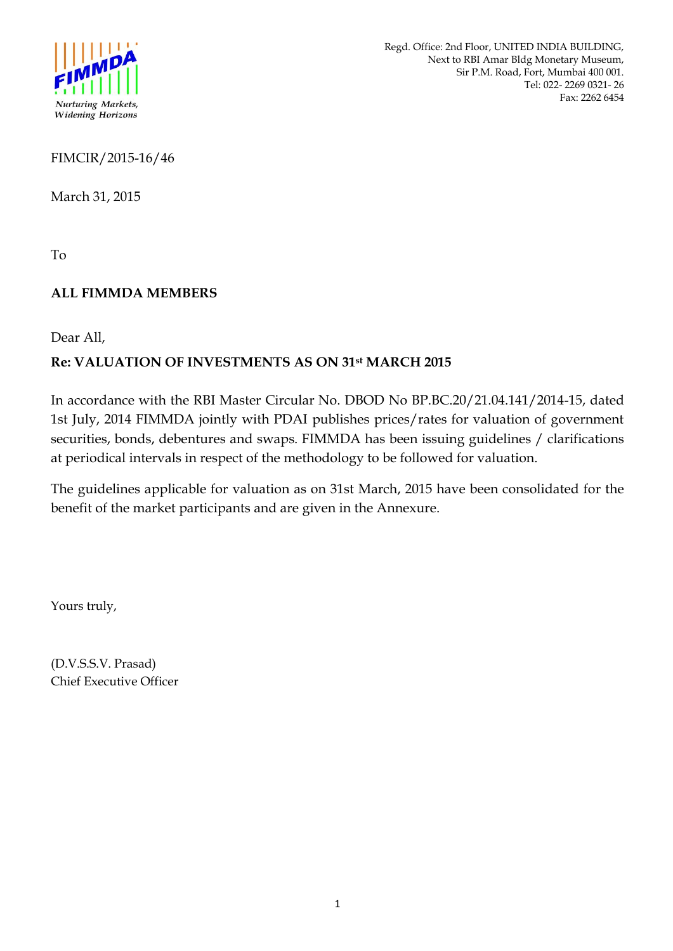

Regd. Office: 2nd Floor, UNITED INDIA BUILDING, Next to RBI Amar Bldg Monetary Museum, Sir P.M. Road, Fort, Mumbai 400 001. Tel: 022- 2269 0321- 26 Fax: 2262 6454

FIMCIR/2015-16/46

March 31, 2015

To

## **ALL FIMMDA MEMBERS**

Dear All,

# **Re: VALUATION OF INVESTMENTS AS ON 31st MARCH 2015**

In accordance with the RBI Master Circular No. DBOD No BP.BC.20/21.04.141/2014-15, dated 1st July, 2014 FIMMDA jointly with PDAI publishes prices/rates for valuation of government securities, bonds, debentures and swaps. FIMMDA has been issuing guidelines / clarifications at periodical intervals in respect of the methodology to be followed for valuation.

The guidelines applicable for valuation as on 31st March, 2015 have been consolidated for the benefit of the market participants and are given in the Annexure.

Yours truly,

(D.V.S.S.V. Prasad) Chief Executive Officer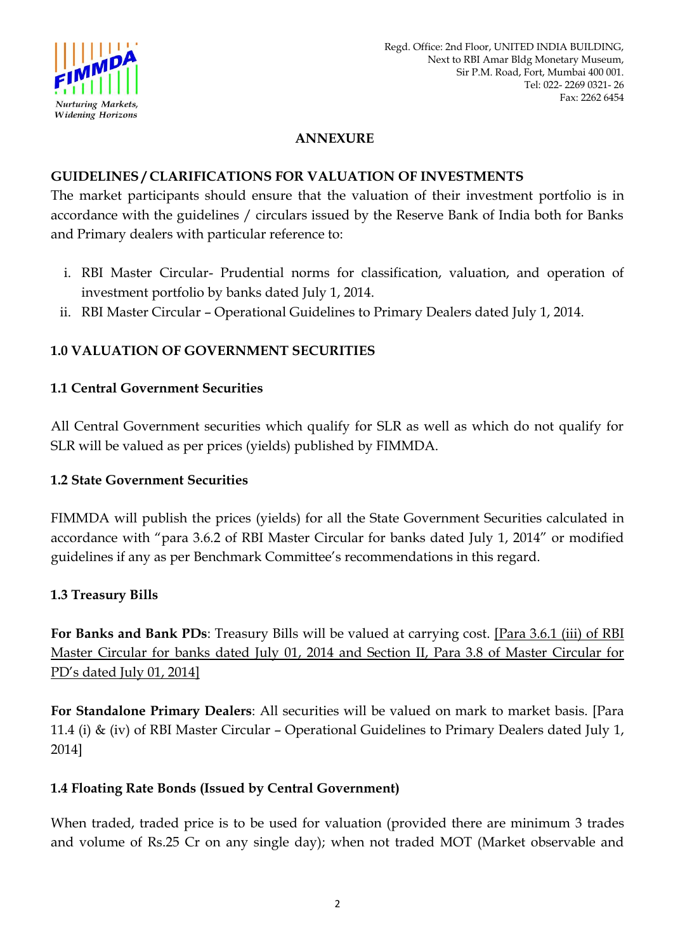

### **ANNEXURE**

#### **GUIDELINES / CLARIFICATIONS FOR VALUATION OF INVESTMENTS**

The market participants should ensure that the valuation of their investment portfolio is in accordance with the guidelines / circulars issued by the Reserve Bank of India both for Banks and Primary dealers with particular reference to:

- i. RBI Master Circular- Prudential norms for classification, valuation, and operation of investment portfolio by banks dated July 1, 2014.
- ii. RBI Master Circular Operational Guidelines to Primary Dealers dated July 1, 2014.

### **1.0 VALUATION OF GOVERNMENT SECURITIES**

#### **1.1 Central Government Securities**

All Central Government securities which qualify for SLR as well as which do not qualify for SLR will be valued as per prices (yields) published by FIMMDA.

#### **1.2 State Government Securities**

FIMMDA will publish the prices (yields) for all the State Government Securities calculated in accordance with "para 3.6.2 of RBI Master Circular for banks dated July 1, 2014" or modified guidelines if any as per Benchmark Committee"s recommendations in this regard.

#### **1.3 Treasury Bills**

**For Banks and Bank PDs**: Treasury Bills will be valued at carrying cost. [Para 3.6.1 (iii) of RBI Master Circular for banks dated July 01, 2014 and Section II, Para 3.8 of Master Circular for PD"s dated July 01, 2014]

**For Standalone Primary Dealers**: All securities will be valued on mark to market basis. [Para 11.4 (i) & (iv) of RBI Master Circular – Operational Guidelines to Primary Dealers dated July 1, 2014]

#### **1.4 Floating Rate Bonds (Issued by Central Government)**

When traded, traded price is to be used for valuation (provided there are minimum 3 trades and volume of Rs.25 Cr on any single day); when not traded MOT (Market observable and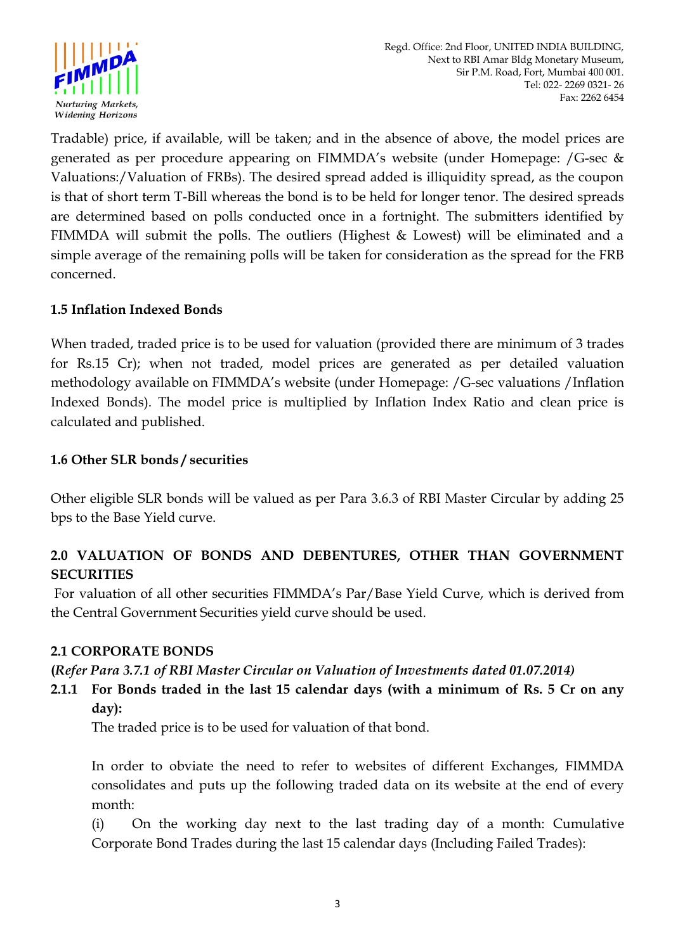

Tradable) price, if available, will be taken; and in the absence of above, the model prices are generated as per procedure appearing on FIMMDA"s website (under Homepage: /G-sec & Valuations:/Valuation of FRBs). The desired spread added is illiquidity spread, as the coupon is that of short term T-Bill whereas the bond is to be held for longer tenor. The desired spreads are determined based on polls conducted once in a fortnight. The submitters identified by FIMMDA will submit the polls. The outliers (Highest  $\&$  Lowest) will be eliminated and a simple average of the remaining polls will be taken for consideration as the spread for the FRB concerned.

## **1.5 Inflation Indexed Bonds**

When traded, traded price is to be used for valuation (provided there are minimum of 3 trades for Rs.15 Cr); when not traded, model prices are generated as per detailed valuation methodology available on FIMMDA"s website (under Homepage: /G-sec valuations /Inflation Indexed Bonds). The model price is multiplied by Inflation Index Ratio and clean price is calculated and published.

#### **1.6 Other SLR bonds / securities**

Other eligible SLR bonds will be valued as per Para 3.6.3 of RBI Master Circular by adding 25 bps to the Base Yield curve.

# **2.0 VALUATION OF BONDS AND DEBENTURES, OTHER THAN GOVERNMENT SECURITIES**

For valuation of all other securities FIMMDA"s Par/Base Yield Curve, which is derived from the Central Government Securities yield curve should be used.

#### **2.1 CORPORATE BONDS**

## **(***Refer Para 3.7.1 of RBI Master Circular on Valuation of Investments dated 01.07.2014)*

## **2.1.1 For Bonds traded in the last 15 calendar days (with a minimum of Rs. 5 Cr on any day):**

The traded price is to be used for valuation of that bond.

In order to obviate the need to refer to websites of different Exchanges, FIMMDA consolidates and puts up the following traded data on its website at the end of every month:

(i) On the working day next to the last trading day of a month: Cumulative Corporate Bond Trades during the last 15 calendar days (Including Failed Trades):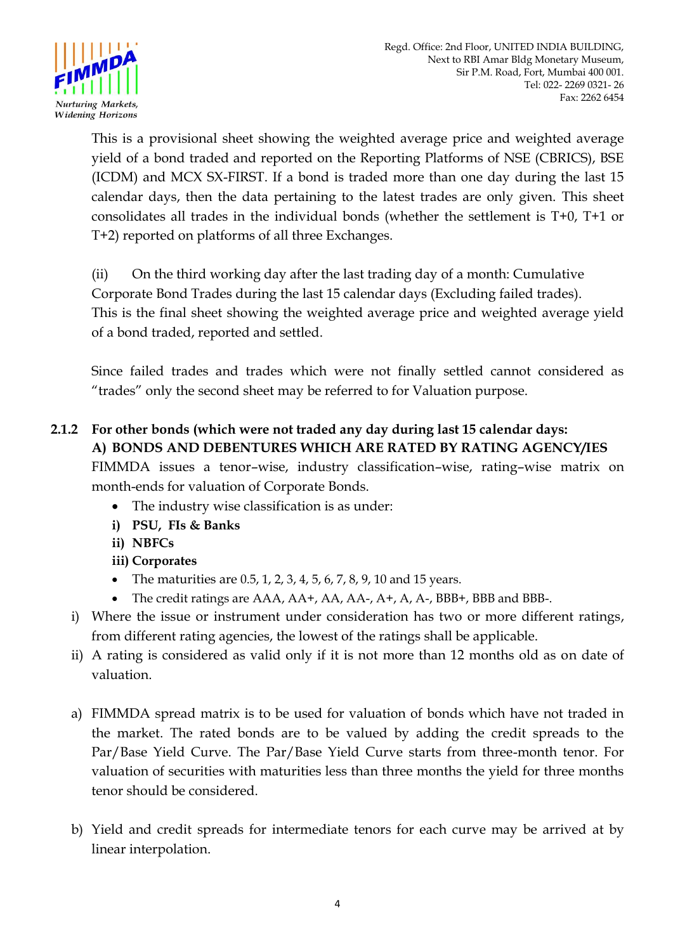

This is a provisional sheet showing the weighted average price and weighted average yield of a bond traded and reported on the Reporting Platforms of NSE (CBRICS), BSE (ICDM) and MCX SX-FIRST. If a bond is traded more than one day during the last 15 calendar days, then the data pertaining to the latest trades are only given. This sheet consolidates all trades in the individual bonds (whether the settlement is T+0, T+1 or T+2) reported on platforms of all three Exchanges.

(ii) On the third working day after the last trading day of a month: Cumulative Corporate Bond Trades during the last 15 calendar days (Excluding failed trades). This is the final sheet showing the weighted average price and weighted average yield of a bond traded, reported and settled.

Since failed trades and trades which were not finally settled cannot considered as "trades" only the second sheet may be referred to for Valuation purpose.

# **2.1.2 For other bonds (which were not traded any day during last 15 calendar days: A) BONDS AND DEBENTURES WHICH ARE RATED BY RATING AGENCY/IES**

FIMMDA issues a tenor–wise, industry classification–wise, rating–wise matrix on month-ends for valuation of Corporate Bonds.

- The industry wise classification is as under:
- **i) PSU, FIs & Banks**
- **ii) NBFCs**
- **iii) Corporates**
- The maturities are  $0.5$ , 1, 2, 3, 4, 5, 6, 7, 8, 9, 10 and 15 years.
- The credit ratings are AAA, AA+, AA, AA-, A+, A, A-, BBB+, BBB and BBB-.
- i) Where the issue or instrument under consideration has two or more different ratings, from different rating agencies, the lowest of the ratings shall be applicable.
- ii) A rating is considered as valid only if it is not more than 12 months old as on date of valuation.
- a) FIMMDA spread matrix is to be used for valuation of bonds which have not traded in the market. The rated bonds are to be valued by adding the credit spreads to the Par/Base Yield Curve. The Par/Base Yield Curve starts from three-month tenor. For valuation of securities with maturities less than three months the yield for three months tenor should be considered.
- b) Yield and credit spreads for intermediate tenors for each curve may be arrived at by linear interpolation.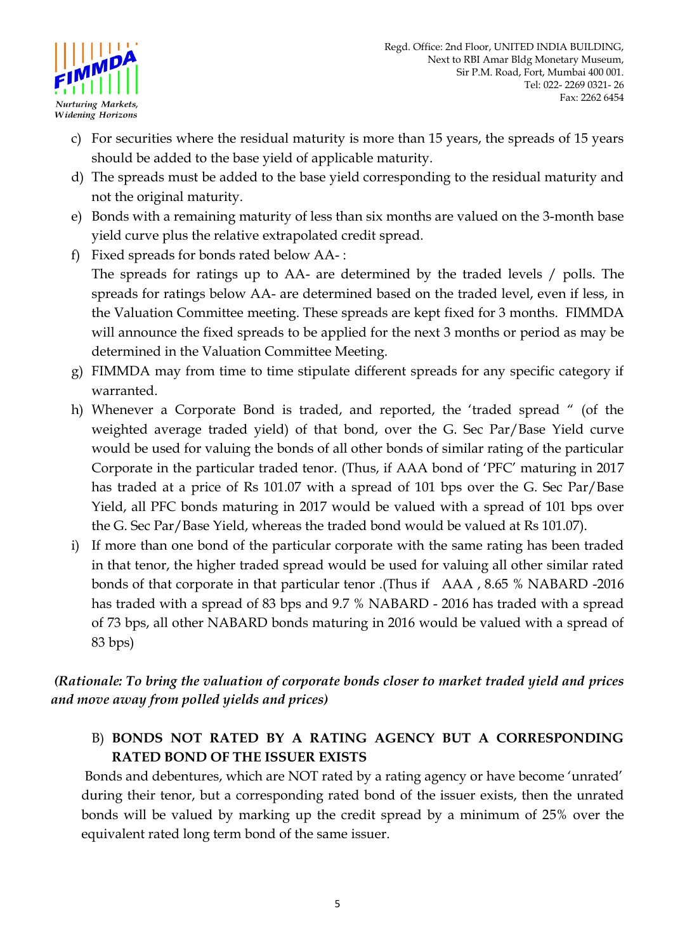

- c) For securities where the residual maturity is more than 15 years, the spreads of 15 years should be added to the base yield of applicable maturity.
- d) The spreads must be added to the base yield corresponding to the residual maturity and not the original maturity.
- e) Bonds with a remaining maturity of less than six months are valued on the 3-month base yield curve plus the relative extrapolated credit spread.
- f) Fixed spreads for bonds rated below AA- : The spreads for ratings up to AA- are determined by the traded levels / polls. The spreads for ratings below AA- are determined based on the traded level, even if less, in the Valuation Committee meeting. These spreads are kept fixed for 3 months. FIMMDA will announce the fixed spreads to be applied for the next 3 months or period as may be determined in the Valuation Committee Meeting.
- g) FIMMDA may from time to time stipulate different spreads for any specific category if warranted.
- h) Whenever a Corporate Bond is traded, and reported, the "traded spread " (of the weighted average traded yield) of that bond, over the G. Sec Par/Base Yield curve would be used for valuing the bonds of all other bonds of similar rating of the particular Corporate in the particular traded tenor. (Thus, if AAA bond of "PFC" maturing in 2017 has traded at a price of Rs 101.07 with a spread of 101 bps over the G. Sec Par/Base Yield, all PFC bonds maturing in 2017 would be valued with a spread of 101 bps over the G. Sec Par/Base Yield, whereas the traded bond would be valued at Rs 101.07).
- i) If more than one bond of the particular corporate with the same rating has been traded in that tenor, the higher traded spread would be used for valuing all other similar rated bonds of that corporate in that particular tenor .(Thus if AAA , 8.65 % NABARD -2016 has traded with a spread of 83 bps and 9.7 % NABARD - 2016 has traded with a spread of 73 bps, all other NABARD bonds maturing in 2016 would be valued with a spread of 83 bps)

*(Rationale: To bring the valuation of corporate bonds closer to market traded yield and prices and move away from polled yields and prices)*

# B) **BONDS NOT RATED BY A RATING AGENCY BUT A CORRESPONDING RATED BOND OF THE ISSUER EXISTS**

Bonds and debentures, which are NOT rated by a rating agency or have become 'unrated' during their tenor, but a corresponding rated bond of the issuer exists, then the unrated bonds will be valued by marking up the credit spread by a minimum of 25% over the equivalent rated long term bond of the same issuer.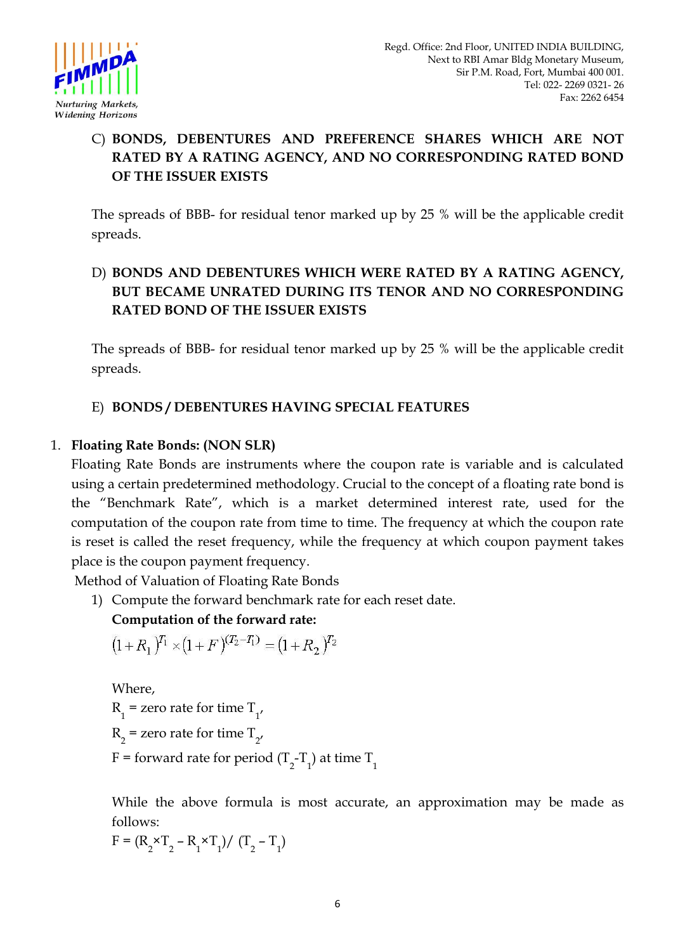

# C) **BONDS, DEBENTURES AND PREFERENCE SHARES WHICH ARE NOT RATED BY A RATING AGENCY, AND NO CORRESPONDING RATED BOND OF THE ISSUER EXISTS**

The spreads of BBB- for residual tenor marked up by 25 % will be the applicable credit spreads.

# D) **BONDS AND DEBENTURES WHICH WERE RATED BY A RATING AGENCY, BUT BECAME UNRATED DURING ITS TENOR AND NO CORRESPONDING RATED BOND OF THE ISSUER EXISTS**

The spreads of BBB- for residual tenor marked up by 25 % will be the applicable credit spreads.

# E) **BONDS / DEBENTURES HAVING SPECIAL FEATURES**

## 1. **Floating Rate Bonds: (NON SLR)**

Floating Rate Bonds are instruments where the coupon rate is variable and is calculated using a certain predetermined methodology. Crucial to the concept of a floating rate bond is the "Benchmark Rate", which is a market determined interest rate, used for the computation of the coupon rate from time to time. The frequency at which the coupon rate is reset is called the reset frequency, while the frequency at which coupon payment takes place is the coupon payment frequency.

Method of Valuation of Floating Rate Bonds

1) Compute the forward benchmark rate for each reset date.

# **Computation of the forward rate:**

$$
(1+R_1)^{T_1} \times (1+F)^{(T_2-T_1)} = (1+R_2)^{T_2}
$$

Where,  $R_1$  = zero rate for time  $T_{1'}$  $R_2$  = zero rate for time  $T_{2'}$ F = forward rate for period (T<sub>2</sub>-T<sub>1</sub>) at time T<sub>1</sub>

While the above formula is most accurate, an approximation may be made as follows:

$$
F = (R_2 \times T_2 - R_1 \times T_1) / (T_2 - T_1)
$$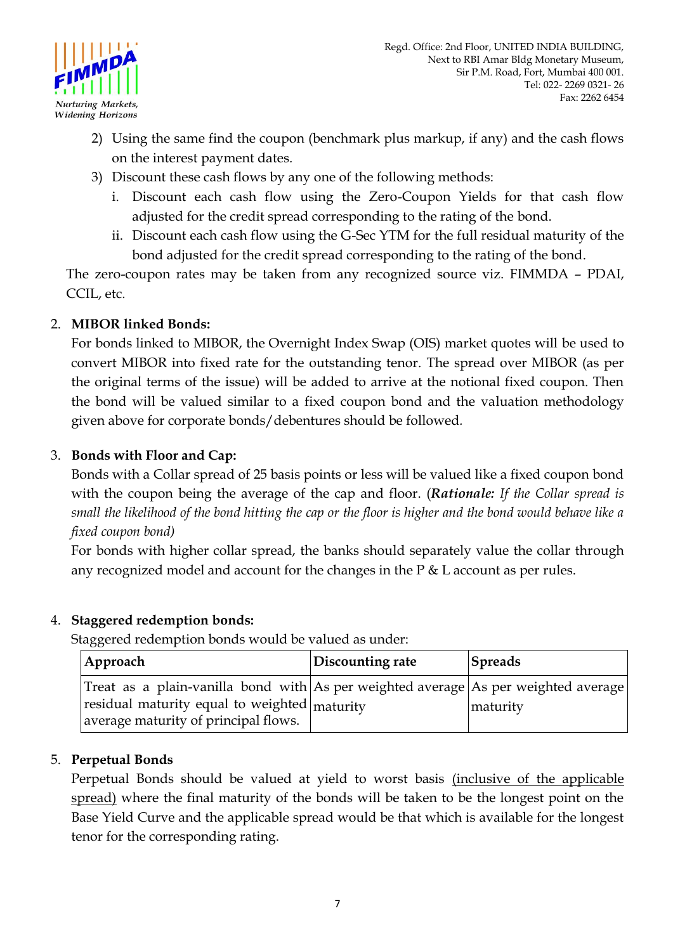

- 2) Using the same find the coupon (benchmark plus markup, if any) and the cash flows on the interest payment dates.
- 3) Discount these cash flows by any one of the following methods:
	- i. Discount each cash flow using the Zero-Coupon Yields for that cash flow adjusted for the credit spread corresponding to the rating of the bond.
	- ii. Discount each cash flow using the G-Sec YTM for the full residual maturity of the bond adjusted for the credit spread corresponding to the rating of the bond.

 The zero-coupon rates may be taken from any recognized source viz. FIMMDA – PDAI, CCIL, etc.

### 2. **MIBOR linked Bonds:**

For bonds linked to MIBOR, the Overnight Index Swap (OIS) market quotes will be used to convert MIBOR into fixed rate for the outstanding tenor. The spread over MIBOR (as per the original terms of the issue) will be added to arrive at the notional fixed coupon. Then the bond will be valued similar to a fixed coupon bond and the valuation methodology given above for corporate bonds/debentures should be followed*.* 

#### 3. **Bonds with Floor and Cap:**

Bonds with a Collar spread of 25 basis points or less will be valued like a fixed coupon bond with the coupon being the average of the cap and floor. (*Rationale: If the Collar spread is small the likelihood of the bond hitting the cap or the floor is higher and the bond would behave like a fixed coupon bond)* 

For bonds with higher collar spread, the banks should separately value the collar through any recognized model and account for the changes in the  $P \& L$  account as per rules.

#### 4. **Staggered redemption bonds:**

Staggered redemption bonds would be valued as under:

| Approach                                                                                                                                                                               | Discounting rate | <b>Spreads</b> |
|----------------------------------------------------------------------------------------------------------------------------------------------------------------------------------------|------------------|----------------|
| Treat as a plain-vanilla bond with As per weighted average As per weighted average<br>residual maturity equal to weighted $_{\text{maturity}}$<br>average maturity of principal flows. |                  | maturity       |

## 5. **Perpetual Bonds**

Perpetual Bonds should be valued at yield to worst basis (inclusive of the applicable spread) where the final maturity of the bonds will be taken to be the longest point on the Base Yield Curve and the applicable spread would be that which is available for the longest tenor for the corresponding rating.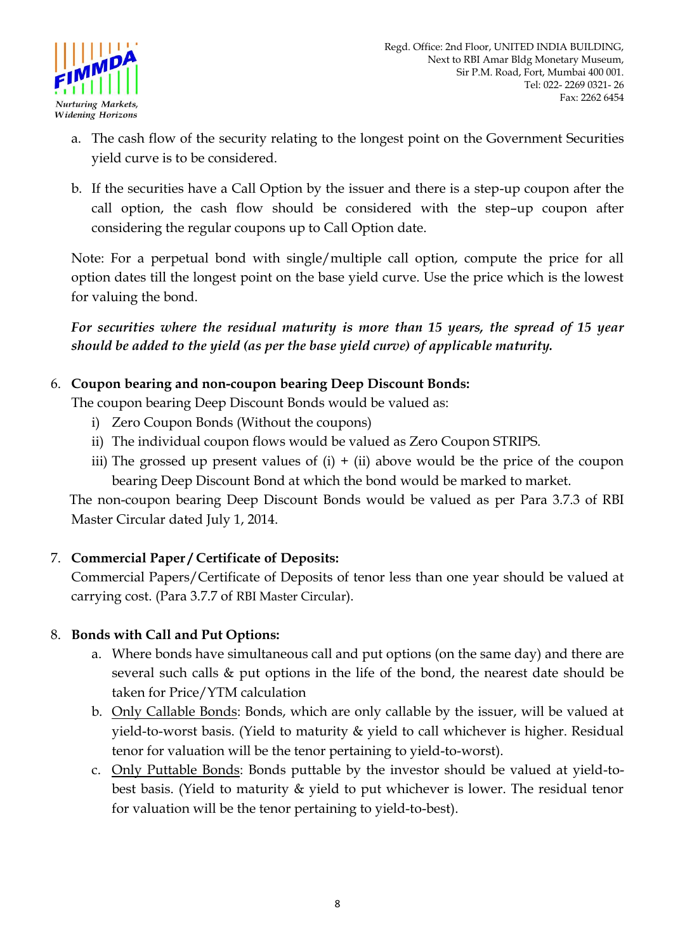

- a. The cash flow of the security relating to the longest point on the Government Securities yield curve is to be considered.
- b. If the securities have a Call Option by the issuer and there is a step-up coupon after the call option, the cash flow should be considered with the step–up coupon after considering the regular coupons up to Call Option date.

Note: For a perpetual bond with single/multiple call option, compute the price for all option dates till the longest point on the base yield curve. Use the price which is the lowest for valuing the bond.

*For securities where the residual maturity is more than 15 years, the spread of 15 year should be added to the yield (as per the base yield curve) of applicable maturity.*

### 6. **Coupon bearing and non-coupon bearing Deep Discount Bonds:**

The coupon bearing Deep Discount Bonds would be valued as:

- i) Zero Coupon Bonds (Without the coupons)
- ii) The individual coupon flows would be valued as Zero Coupon STRIPS.
- iii) The grossed up present values of  $(i) + (ii)$  above would be the price of the coupon bearing Deep Discount Bond at which the bond would be marked to market.

The non-coupon bearing Deep Discount Bonds would be valued as per Para 3.7.3 of RBI Master Circular dated July 1, 2014.

## 7. **Commercial Paper / Certificate of Deposits:**

Commercial Papers/Certificate of Deposits of tenor less than one year should be valued at carrying cost. (Para 3.7.7 of RBI Master Circular).

#### 8. **Bonds with Call and Put Options:**

- a. Where bonds have simultaneous call and put options (on the same day) and there are several such calls & put options in the life of the bond, the nearest date should be taken for Price/YTM calculation
- b. Only Callable Bonds: Bonds, which are only callable by the issuer, will be valued at yield-to-worst basis. (Yield to maturity & yield to call whichever is higher. Residual tenor for valuation will be the tenor pertaining to yield-to-worst).
- c. Only Puttable Bonds: Bonds puttable by the investor should be valued at yield-tobest basis. (Yield to maturity & yield to put whichever is lower. The residual tenor for valuation will be the tenor pertaining to yield-to-best).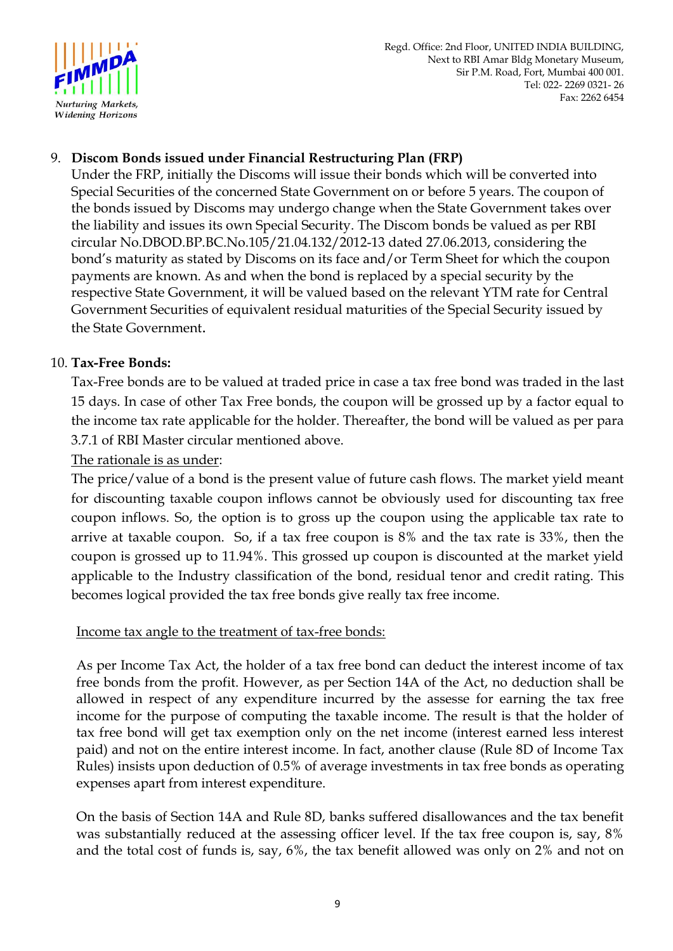

### 9. **Discom Bonds issued under Financial Restructuring Plan (FRP)**

Under the FRP, initially the Discoms will issue their bonds which will be converted into Special Securities of the concerned State Government on or before 5 years. The coupon of the bonds issued by Discoms may undergo change when the State Government takes over the liability and issues its own Special Security. The Discom bonds be valued as per RBI circular No.DBOD.BP.BC.No.105/21.04.132/2012-13 dated 27.06.2013, considering the bond"s maturity as stated by Discoms on its face and/or Term Sheet for which the coupon payments are known. As and when the bond is replaced by a special security by the respective State Government, it will be valued based on the relevant YTM rate for Central Government Securities of equivalent residual maturities of the Special Security issued by the State Government.

#### 10. **Tax-Free Bonds:**

Tax-Free bonds are to be valued at traded price in case a tax free bond was traded in the last 15 days. In case of other Tax Free bonds, the coupon will be grossed up by a factor equal to the income tax rate applicable for the holder. Thereafter, the bond will be valued as per para 3.7.1 of RBI Master circular mentioned above.

### The rationale is as under:

The price/value of a bond is the present value of future cash flows. The market yield meant for discounting taxable coupon inflows cannot be obviously used for discounting tax free coupon inflows. So, the option is to gross up the coupon using the applicable tax rate to arrive at taxable coupon. So, if a tax free coupon is 8% and the tax rate is 33%, then the coupon is grossed up to 11.94%. This grossed up coupon is discounted at the market yield applicable to the Industry classification of the bond, residual tenor and credit rating. This becomes logical provided the tax free bonds give really tax free income.

#### Income tax angle to the treatment of tax-free bonds:

As per Income Tax Act, the holder of a tax free bond can deduct the interest income of tax free bonds from the profit. However, as per Section 14A of the Act, no deduction shall be allowed in respect of any expenditure incurred by the assesse for earning the tax free income for the purpose of computing the taxable income. The result is that the holder of tax free bond will get tax exemption only on the net income (interest earned less interest paid) and not on the entire interest income. In fact, another clause (Rule 8D of Income Tax Rules) insists upon deduction of 0.5% of average investments in tax free bonds as operating expenses apart from interest expenditure.

On the basis of Section 14A and Rule 8D, banks suffered disallowances and the tax benefit was substantially reduced at the assessing officer level. If the tax free coupon is, say, 8% and the total cost of funds is, say, 6%, the tax benefit allowed was only on 2% and not on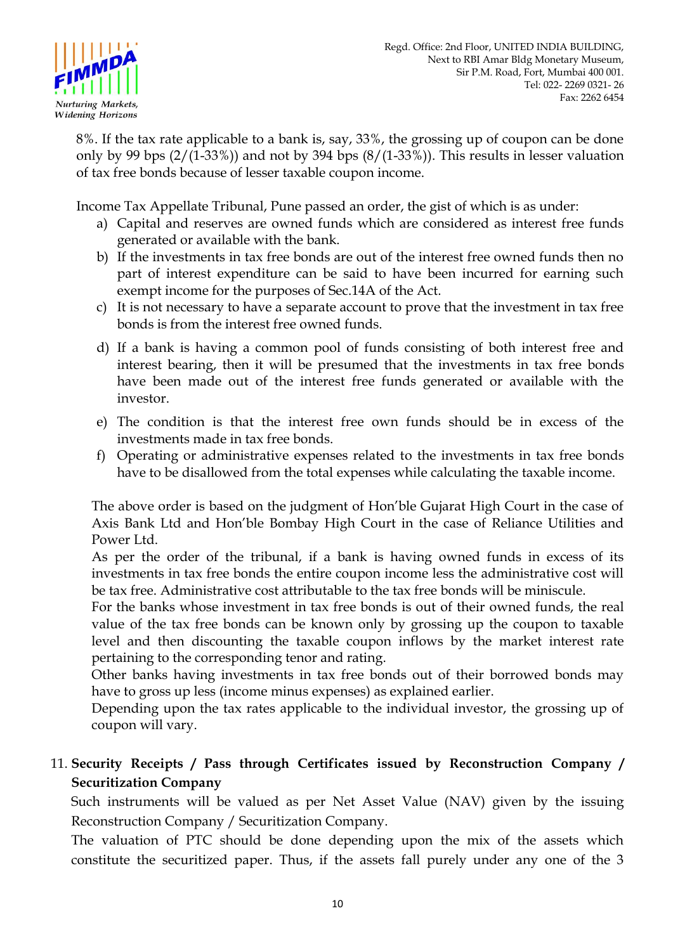

8%. If the tax rate applicable to a bank is, say, 33%, the grossing up of coupon can be done only by 99 bps  $(2/(1-33\%)$  and not by 394 bps  $(8/(1-33\%))$ . This results in lesser valuation of tax free bonds because of lesser taxable coupon income.

Income Tax Appellate Tribunal, Pune passed an order, the gist of which is as under:

- a) Capital and reserves are owned funds which are considered as interest free funds generated or available with the bank.
- b) If the investments in tax free bonds are out of the interest free owned funds then no part of interest expenditure can be said to have been incurred for earning such exempt income for the purposes of Sec.14A of the Act.
- c) It is not necessary to have a separate account to prove that the investment in tax free bonds is from the interest free owned funds.
- d) If a bank is having a common pool of funds consisting of both interest free and interest bearing, then it will be presumed that the investments in tax free bonds have been made out of the interest free funds generated or available with the investor.
- e) The condition is that the interest free own funds should be in excess of the investments made in tax free bonds.
- f) Operating or administrative expenses related to the investments in tax free bonds have to be disallowed from the total expenses while calculating the taxable income.

The above order is based on the judgment of Hon"ble Gujarat High Court in the case of Axis Bank Ltd and Hon"ble Bombay High Court in the case of Reliance Utilities and Power Ltd.

As per the order of the tribunal, if a bank is having owned funds in excess of its investments in tax free bonds the entire coupon income less the administrative cost will be tax free. Administrative cost attributable to the tax free bonds will be miniscule.

For the banks whose investment in tax free bonds is out of their owned funds, the real value of the tax free bonds can be known only by grossing up the coupon to taxable level and then discounting the taxable coupon inflows by the market interest rate pertaining to the corresponding tenor and rating.

Other banks having investments in tax free bonds out of their borrowed bonds may have to gross up less (income minus expenses) as explained earlier.

Depending upon the tax rates applicable to the individual investor, the grossing up of coupon will vary.

## 11. **Security Receipts / Pass through Certificates issued by Reconstruction Company / Securitization Company**

Such instruments will be valued as per Net Asset Value (NAV) given by the issuing Reconstruction Company / Securitization Company.

The valuation of PTC should be done depending upon the mix of the assets which constitute the securitized paper. Thus, if the assets fall purely under any one of the 3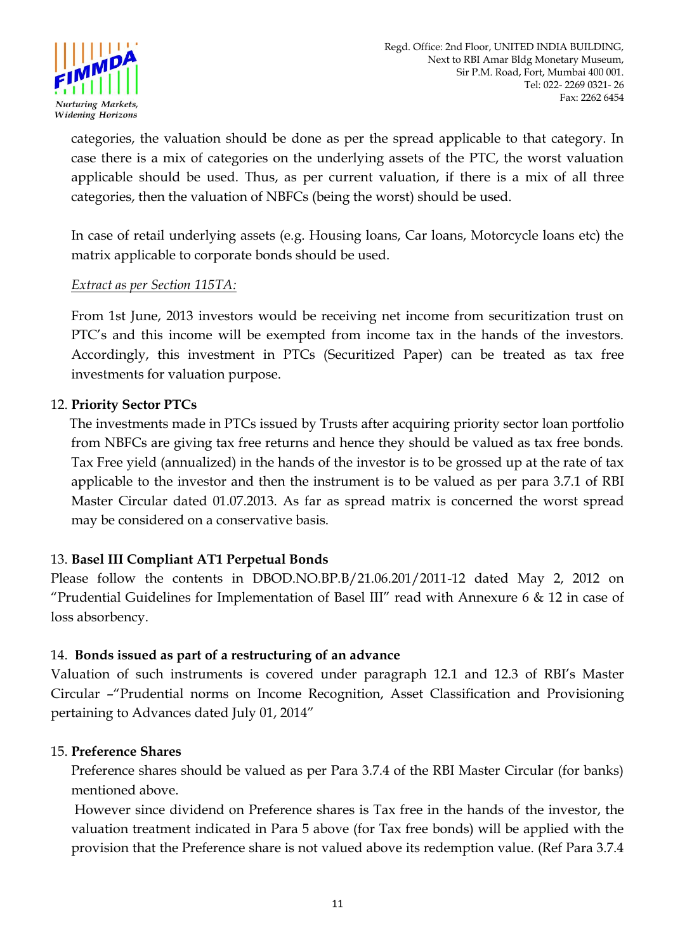

categories, the valuation should be done as per the spread applicable to that category. In case there is a mix of categories on the underlying assets of the PTC, the worst valuation applicable should be used. Thus, as per current valuation, if there is a mix of all three categories, then the valuation of NBFCs (being the worst) should be used.

In case of retail underlying assets (e.g. Housing loans, Car loans, Motorcycle loans etc) the matrix applicable to corporate bonds should be used.

#### *Extract as per Section 115TA:*

From 1st June, 2013 investors would be receiving net income from securitization trust on PTC"s and this income will be exempted from income tax in the hands of the investors. Accordingly, this investment in PTCs (Securitized Paper) can be treated as tax free investments for valuation purpose.

#### 12. **Priority Sector PTCs**

 The investments made in PTCs issued by Trusts after acquiring priority sector loan portfolio from NBFCs are giving tax free returns and hence they should be valued as tax free bonds. Tax Free yield (annualized) in the hands of the investor is to be grossed up at the rate of tax applicable to the investor and then the instrument is to be valued as per para 3.7.1 of RBI Master Circular dated 01.07.2013. As far as spread matrix is concerned the worst spread may be considered on a conservative basis.

#### 13. **Basel III Compliant AT1 Perpetual Bonds**

Please follow the contents in DBOD.NO.BP.B/21.06.201/2011-12 dated May 2, 2012 on "Prudential Guidelines for Implementation of Basel III" read with Annexure 6  $\&$  12 in case of loss absorbency.

#### 14. **Bonds issued as part of a restructuring of an advance**

Valuation of such instruments is covered under paragraph 12.1 and 12.3 of RBI"s Master Circular –"Prudential norms on Income Recognition, Asset Classification and Provisioning pertaining to Advances dated July 01, 2014"

#### 15. **Preference Shares**

Preference shares should be valued as per Para 3.7.4 of the RBI Master Circular (for banks) mentioned above.

However since dividend on Preference shares is Tax free in the hands of the investor, the valuation treatment indicated in Para 5 above (for Tax free bonds) will be applied with the provision that the Preference share is not valued above its redemption value. (Ref Para 3.7.4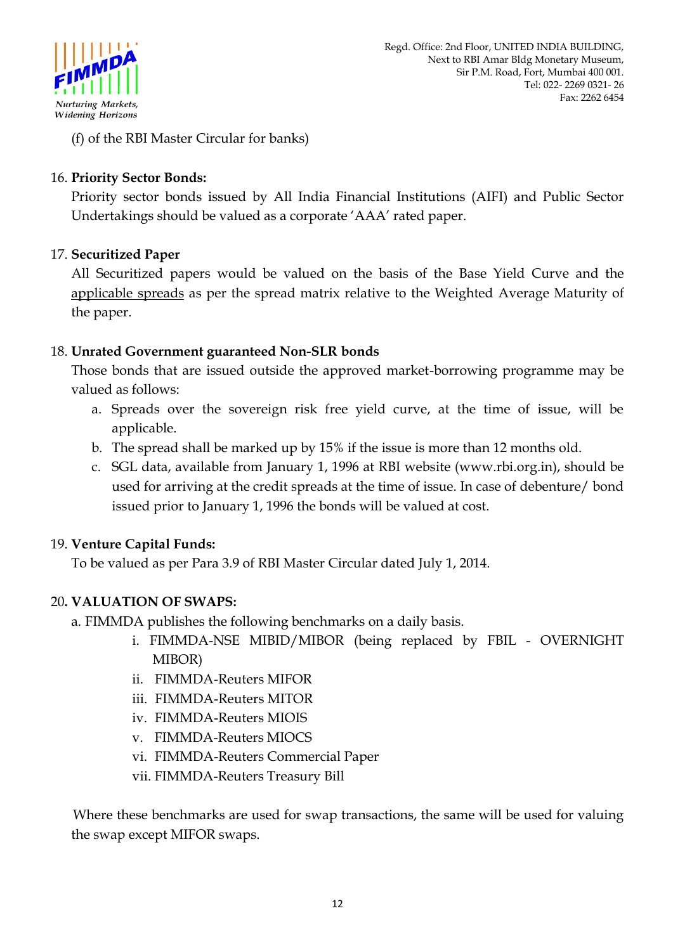

(f) of the RBI Master Circular for banks)

### 16. **Priority Sector Bonds:**

Priority sector bonds issued by All India Financial Institutions (AIFI) and Public Sector Undertakings should be valued as a corporate "AAA" rated paper.

### 17. **Securitized Paper**

All Securitized papers would be valued on the basis of the Base Yield Curve and the applicable spreads as per the spread matrix relative to the Weighted Average Maturity of the paper.

### 18. **Unrated Government guaranteed Non-SLR bonds**

Those bonds that are issued outside the approved market-borrowing programme may be valued as follows:

- a. Spreads over the sovereign risk free yield curve, at the time of issue, will be applicable.
- b. The spread shall be marked up by 15% if the issue is more than 12 months old.
- c. SGL data, available from January 1, 1996 at RBI website (www.rbi.org.in), should be used for arriving at the credit spreads at the time of issue. In case of debenture/ bond issued prior to January 1, 1996 the bonds will be valued at cost.

#### 19. **Venture Capital Funds:**

To be valued as per Para 3.9 of RBI Master Circular dated July 1, 2014.

## 20**. VALUATION OF SWAPS:**

a. FIMMDA publishes the following benchmarks on a daily basis.

- i. FIMMDA-NSE MIBID/MIBOR (being replaced by FBIL OVERNIGHT MIBOR)
- ii. FIMMDA-Reuters MIFOR
- iii. FIMMDA-Reuters MITOR
- iv. FIMMDA-Reuters MIOIS
- v. FIMMDA-Reuters MIOCS
- vi. FIMMDA-Reuters Commercial Paper
- vii. FIMMDA-Reuters Treasury Bill

 Where these benchmarks are used for swap transactions, the same will be used for valuing the swap except MIFOR swaps.